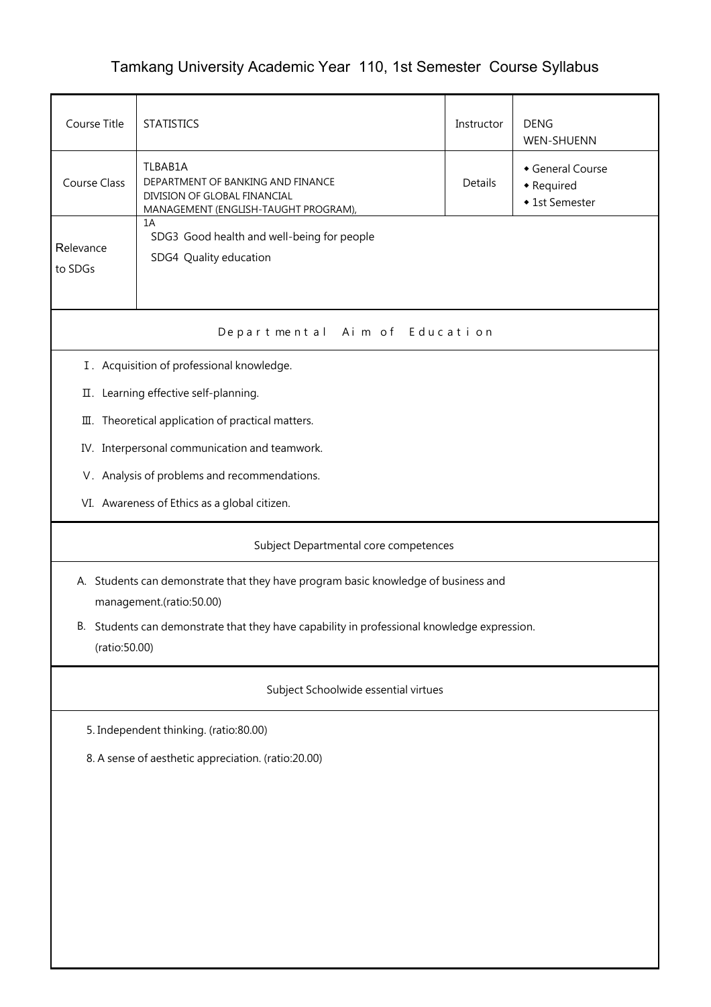## Tamkang University Academic Year 110, 1st Semester Course Syllabus

| Course Title                                                                                                    | <b>STATISTICS</b>                                                                                                    | Instructor | <b>DENG</b><br>WEN-SHUENN                      |  |  |  |  |  |
|-----------------------------------------------------------------------------------------------------------------|----------------------------------------------------------------------------------------------------------------------|------------|------------------------------------------------|--|--|--|--|--|
| <b>Course Class</b>                                                                                             | TLBAB1A<br>DEPARTMENT OF BANKING AND FINANCE<br>DIVISION OF GLOBAL FINANCIAL<br>MANAGEMENT (ENGLISH-TAUGHT PROGRAM), | Details    | General Course<br>• Required<br>◆ 1st Semester |  |  |  |  |  |
| Relevance<br>to SDGs                                                                                            | 1A<br>SDG3 Good health and well-being for people<br>SDG4 Quality education                                           |            |                                                |  |  |  |  |  |
| Departmental Aim of Education                                                                                   |                                                                                                                      |            |                                                |  |  |  |  |  |
|                                                                                                                 | I. Acquisition of professional knowledge.                                                                            |            |                                                |  |  |  |  |  |
|                                                                                                                 | II. Learning effective self-planning.                                                                                |            |                                                |  |  |  |  |  |
|                                                                                                                 | III. Theoretical application of practical matters.                                                                   |            |                                                |  |  |  |  |  |
|                                                                                                                 | IV. Interpersonal communication and teamwork.                                                                        |            |                                                |  |  |  |  |  |
|                                                                                                                 | V. Analysis of problems and recommendations.                                                                         |            |                                                |  |  |  |  |  |
|                                                                                                                 | VI. Awareness of Ethics as a global citizen.                                                                         |            |                                                |  |  |  |  |  |
| Subject Departmental core competences                                                                           |                                                                                                                      |            |                                                |  |  |  |  |  |
|                                                                                                                 | A. Students can demonstrate that they have program basic knowledge of business and<br>management.(ratio:50.00)       |            |                                                |  |  |  |  |  |
| Students can demonstrate that they have capability in professional knowledge expression.<br>В.<br>(ratio:50.00) |                                                                                                                      |            |                                                |  |  |  |  |  |
| Subject Schoolwide essential virtues                                                                            |                                                                                                                      |            |                                                |  |  |  |  |  |
| 5. Independent thinking. (ratio:80.00)                                                                          |                                                                                                                      |            |                                                |  |  |  |  |  |
| 8. A sense of aesthetic appreciation. (ratio:20.00)                                                             |                                                                                                                      |            |                                                |  |  |  |  |  |
|                                                                                                                 |                                                                                                                      |            |                                                |  |  |  |  |  |
|                                                                                                                 |                                                                                                                      |            |                                                |  |  |  |  |  |
|                                                                                                                 |                                                                                                                      |            |                                                |  |  |  |  |  |
|                                                                                                                 |                                                                                                                      |            |                                                |  |  |  |  |  |
|                                                                                                                 |                                                                                                                      |            |                                                |  |  |  |  |  |
|                                                                                                                 |                                                                                                                      |            |                                                |  |  |  |  |  |
|                                                                                                                 |                                                                                                                      |            |                                                |  |  |  |  |  |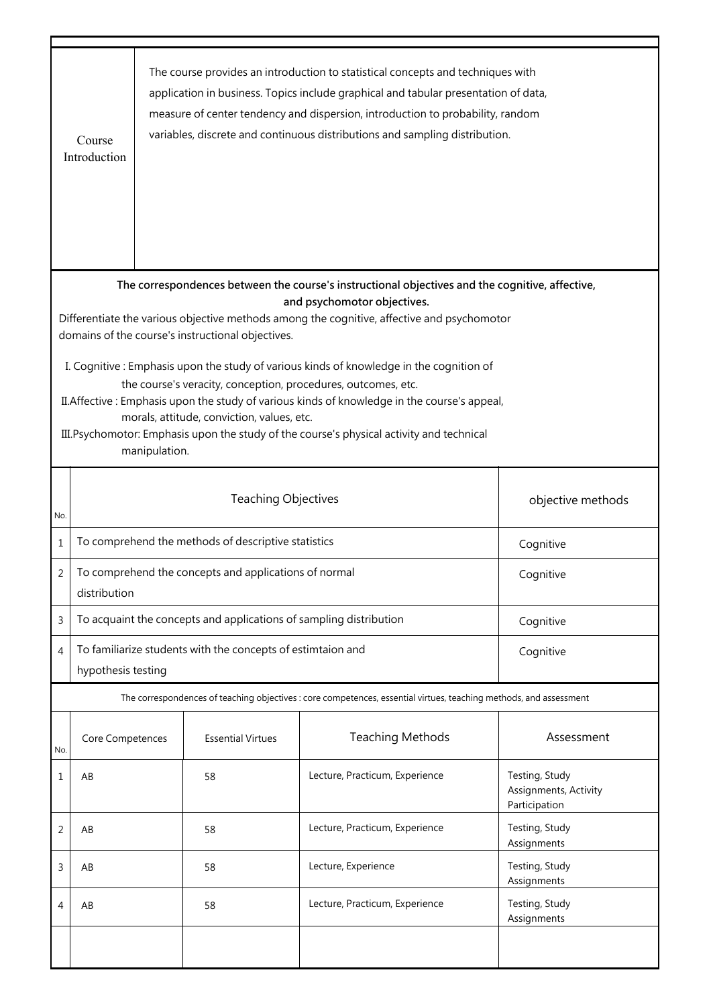|                                                                                                                                                                                                                                                                                                                                                                              | Course<br>Introduction                                                                                             |  |                                                       | The course provides an introduction to statistical concepts and techniques with<br>application in business. Topics include graphical and tabular presentation of data,<br>measure of center tendency and dispersion, introduction to probability, random<br>variables, discrete and continuous distributions and sampling distribution. |                                                          |  |  |
|------------------------------------------------------------------------------------------------------------------------------------------------------------------------------------------------------------------------------------------------------------------------------------------------------------------------------------------------------------------------------|--------------------------------------------------------------------------------------------------------------------|--|-------------------------------------------------------|-----------------------------------------------------------------------------------------------------------------------------------------------------------------------------------------------------------------------------------------------------------------------------------------------------------------------------------------|----------------------------------------------------------|--|--|
| The correspondences between the course's instructional objectives and the cognitive, affective,<br>and psychomotor objectives.<br>Differentiate the various objective methods among the cognitive, affective and psychomotor<br>domains of the course's instructional objectives.<br>I. Cognitive: Emphasis upon the study of various kinds of knowledge in the cognition of |                                                                                                                    |  |                                                       |                                                                                                                                                                                                                                                                                                                                         |                                                          |  |  |
| the course's veracity, conception, procedures, outcomes, etc.<br>II. Affective: Emphasis upon the study of various kinds of knowledge in the course's appeal,<br>morals, attitude, conviction, values, etc.<br>III. Psychomotor: Emphasis upon the study of the course's physical activity and technical<br>manipulation.                                                    |                                                                                                                    |  |                                                       |                                                                                                                                                                                                                                                                                                                                         |                                                          |  |  |
| No.                                                                                                                                                                                                                                                                                                                                                                          |                                                                                                                    |  | objective methods                                     |                                                                                                                                                                                                                                                                                                                                         |                                                          |  |  |
| $\mathbf{1}$                                                                                                                                                                                                                                                                                                                                                                 | To comprehend the methods of descriptive statistics<br>Cognitive                                                   |  |                                                       |                                                                                                                                                                                                                                                                                                                                         |                                                          |  |  |
| 2                                                                                                                                                                                                                                                                                                                                                                            | distribution                                                                                                       |  | To comprehend the concepts and applications of normal |                                                                                                                                                                                                                                                                                                                                         | Cognitive                                                |  |  |
| 3                                                                                                                                                                                                                                                                                                                                                                            | To acquaint the concepts and applications of sampling distribution<br>Cognitive                                    |  |                                                       |                                                                                                                                                                                                                                                                                                                                         |                                                          |  |  |
| 4                                                                                                                                                                                                                                                                                                                                                                            | To familiarize students with the concepts of estimtaion and<br>Cognitive<br>hypothesis testing                     |  |                                                       |                                                                                                                                                                                                                                                                                                                                         |                                                          |  |  |
|                                                                                                                                                                                                                                                                                                                                                                              | The correspondences of teaching objectives : core competences, essential virtues, teaching methods, and assessment |  |                                                       |                                                                                                                                                                                                                                                                                                                                         |                                                          |  |  |
| No.                                                                                                                                                                                                                                                                                                                                                                          | Core Competences                                                                                                   |  | <b>Essential Virtues</b>                              | <b>Teaching Methods</b>                                                                                                                                                                                                                                                                                                                 | Assessment                                               |  |  |
| 1                                                                                                                                                                                                                                                                                                                                                                            | AB                                                                                                                 |  | 58                                                    | Lecture, Practicum, Experience                                                                                                                                                                                                                                                                                                          | Testing, Study<br>Assignments, Activity<br>Participation |  |  |
| 2                                                                                                                                                                                                                                                                                                                                                                            | AB                                                                                                                 |  | 58                                                    | Lecture, Practicum, Experience                                                                                                                                                                                                                                                                                                          | Testing, Study<br>Assignments                            |  |  |
| 3                                                                                                                                                                                                                                                                                                                                                                            | AB                                                                                                                 |  | 58                                                    | Lecture, Experience                                                                                                                                                                                                                                                                                                                     | Testing, Study<br>Assignments                            |  |  |
| 4                                                                                                                                                                                                                                                                                                                                                                            | AB                                                                                                                 |  | 58                                                    | Lecture, Practicum, Experience                                                                                                                                                                                                                                                                                                          | Testing, Study<br>Assignments                            |  |  |
|                                                                                                                                                                                                                                                                                                                                                                              |                                                                                                                    |  |                                                       |                                                                                                                                                                                                                                                                                                                                         |                                                          |  |  |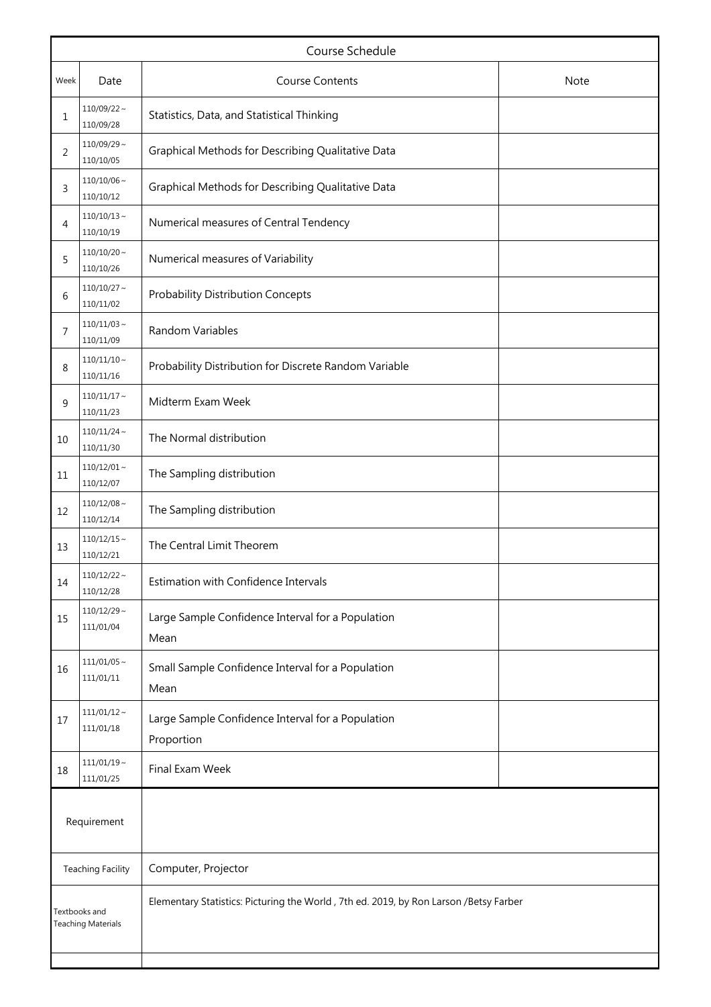|                                            |                                               | Course Schedule                                                                       |  |
|--------------------------------------------|-----------------------------------------------|---------------------------------------------------------------------------------------|--|
| Week                                       | Date                                          | <b>Course Contents</b><br><b>Note</b>                                                 |  |
| 1                                          | $110/09/22 \sim$<br>110/09/28                 | Statistics, Data, and Statistical Thinking                                            |  |
| 2                                          | $110/09/29$ ~<br>110/10/05                    | Graphical Methods for Describing Qualitative Data                                     |  |
| 3                                          | $110/10/06$ ~<br>110/10/12                    | Graphical Methods for Describing Qualitative Data                                     |  |
| 4                                          | $110/10/13$ ~<br>110/10/19                    | Numerical measures of Central Tendency                                                |  |
| 5                                          | $110/10/20$ ~<br>110/10/26                    | Numerical measures of Variability                                                     |  |
| 6                                          | $110/10/27$ ~<br>110/11/02                    | <b>Probability Distribution Concepts</b>                                              |  |
| 7                                          | $110/11/03$ ~<br>110/11/09                    | Random Variables                                                                      |  |
| 8                                          | $110/11/10 \sim$<br>110/11/16                 | Probability Distribution for Discrete Random Variable                                 |  |
| 9                                          | $110/11/17$ ~<br>110/11/23                    | Midterm Exam Week                                                                     |  |
| 10                                         | $110/11/24$ ~<br>110/11/30                    | The Normal distribution                                                               |  |
| 11                                         | $110/12/01$ ~<br>110/12/07                    | The Sampling distribution                                                             |  |
| 12                                         | $110/12/08 \sim$<br>110/12/14                 | The Sampling distribution                                                             |  |
| 13                                         | $110/12/15$ ~<br>110/12/21                    | The Central Limit Theorem                                                             |  |
| 14                                         | $110/12/22$ ~<br>110/12/28                    | Estimation with Confidence Intervals                                                  |  |
| 15                                         | $110/12/29$ ~<br>111/01/04                    | Large Sample Confidence Interval for a Population<br>Mean                             |  |
| 16                                         | $111/01/05$ ~<br>111/01/11                    | Small Sample Confidence Interval for a Population<br>Mean                             |  |
| 17                                         | $111/01/12 \sim$<br>111/01/18                 | Large Sample Confidence Interval for a Population<br>Proportion                       |  |
| 18                                         | $111/01/19$ ~<br>Final Exam Week<br>111/01/25 |                                                                                       |  |
| Requirement                                |                                               |                                                                                       |  |
|                                            | <b>Teaching Facility</b>                      | Computer, Projector                                                                   |  |
| Textbooks and<br><b>Teaching Materials</b> |                                               | Elementary Statistics: Picturing the World, 7th ed. 2019, by Ron Larson /Betsy Farber |  |